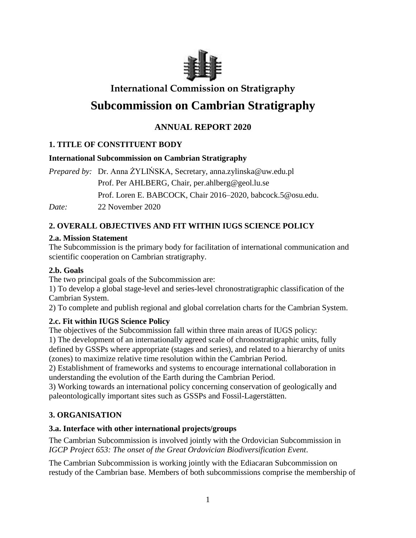

# **International Commission on Stratigraphy**

# **Subcommission on Cambrian Stratigraphy**

# **ANNUAL REPORT 2020**

# **1. TITLE OF CONSTITUENT BODY**

### **International Subcommission on Cambrian Stratigraphy**

*Prepared by:* Dr. Anna ŻYLIŃSKA, Secretary, anna.zylinska@uw.edu.pl Prof. Per AHLBERG, Chair, per.ahlberg@geol.lu.se Prof. Loren E. BABCOCK, Chair 2016–2020, babcock.5@osu.edu. *Date:* 22 November 2020

# **2. OVERALL OBJECTIVES AND FIT WITHIN IUGS SCIENCE POLICY**

### **2.a. Mission Statement**

The Subcommission is the primary body for facilitation of international communication and scientific cooperation on Cambrian stratigraphy.

# **2.b. Goals**

The two principal goals of the Subcommission are:

1) To develop a global stage-level and series-level chronostratigraphic classification of the Cambrian System.

2) To complete and publish regional and global correlation charts for the Cambrian System.

# **2.c. Fit within IUGS Science Policy**

The objectives of the Subcommission fall within three main areas of IUGS policy:

1) The development of an internationally agreed scale of chronostratigraphic units, fully defined by GSSPs where appropriate (stages and series), and related to a hierarchy of units (zones) to maximize relative time resolution within the Cambrian Period.

2) Establishment of frameworks and systems to encourage international collaboration in understanding the evolution of the Earth during the Cambrian Period.

3) Working towards an international policy concerning conservation of geologically and paleontologically important sites such as GSSPs and Fossil-Lagerstätten.

# **3. ORGANISATION**

# **3.a. Interface with other international projects/groups**

The Cambrian Subcommission is involved jointly with the Ordovician Subcommission in *IGCP Project 653: The onset of the Great Ordovician Biodiversification Event*.

The Cambrian Subcommission is working jointly with the Ediacaran Subcommission on restudy of the Cambrian base. Members of both subcommissions comprise the membership of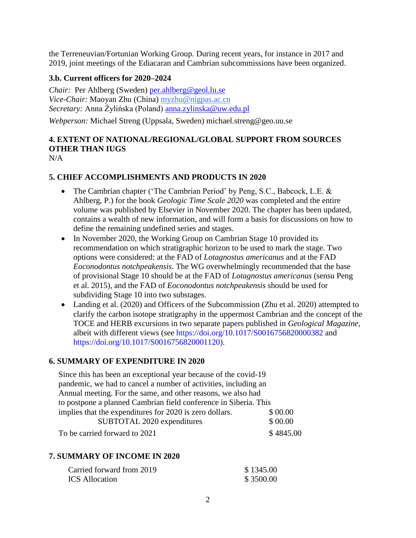the Terreneuvian/Fortunian Working Group. During recent years, for instance in 2017 and 2019, joint meetings of the Ediacaran and Cambrian subcommissions have been organized.

### **3.b. Current officers for 2020–2024**

*Chair:* Per Ahlberg (Sweden) [per.ahlberg@geol.lu.se](mailto:per.ahlberg@geol.lu.se) *Vice-Chair:* Maoyan Zhu (China) [myzhu@nigpas.ac.cn](mailto:myzhu@nigpas.ac.cn) *Secretary:* Anna Żylińska (Poland) [anna.zylinska@uw.edu.pl](mailto:anna.zylinska@uw.edu.pl)

*Webperson:* Michael Streng (Uppsala, Sweden) michael.streng@geo.uu.se

# **4. EXTENT OF NATIONAL/REGIONAL/GLOBAL SUPPORT FROM SOURCES OTHER THAN IUGS**

 $N/A$ 

### **5. CHIEF ACCOMPLISHMENTS AND PRODUCTS IN 2020**

- The Cambrian chapter ('The Cambrian Period' by Peng, S.C., Babcock, L.E. & Ahlberg, P.) for the book *Geologic Time Scale 2020* was completed and the entire volume was published by Elsevier in November 2020. The chapter has been updated, contains a wealth of new information, and will form a basis for discussions on how to define the remaining undefined series and stages.
- In November 2020, the Working Group on Cambrian Stage 10 provided its recommendation on which stratigraphic horizon to be used to mark the stage. Two options were considered: at the FAD of *Lotagnostus americanus* and at the FAD *Eoconodontus notchpeakensis*. The WG overwhelmingly recommended that the base of provisional Stage 10 should be at the FAD of *Lotagnostus americanus* (sensu Peng et al. 2015), and the FAD of *Eoconodontus notchpeakensis* should be used for subdividing Stage 10 into two substages.
- Landing et al. (2020) and Officers of the Subcommission (Zhu et al. 2020) attempted to clarify the carbon isotope stratigraphy in the uppermost Cambrian and the concept of the TOCE and HERB excursions in two separate papers published in *Geological Magazine*, albeit with different views (see https://doi.org/10.1017/S0016756820000382 and https://doi.org/10.1017/S0016756820001120).

#### **6. SUMMARY OF EXPENDITURE IN 2020**

| Since this has been an exceptional year because of the covid-19  |           |  |
|------------------------------------------------------------------|-----------|--|
| pandemic, we had to cancel a number of activities, including an  |           |  |
| Annual meeting. For the same, and other reasons, we also had     |           |  |
| to postpone a planned Cambrian field conference in Siberia. This |           |  |
| implies that the expenditures for 2020 is zero dollars.          | \$ 00.00  |  |
| SUBTOTAL 2020 expenditures                                       | \$ 00.00  |  |
| To be carried forward to 2021                                    | \$4845.00 |  |

### **7. SUMMARY OF INCOME IN 2020**

| Carried forward from 2019 | \$1345.00 |
|---------------------------|-----------|
| <b>ICS</b> Allocation     | \$3500.00 |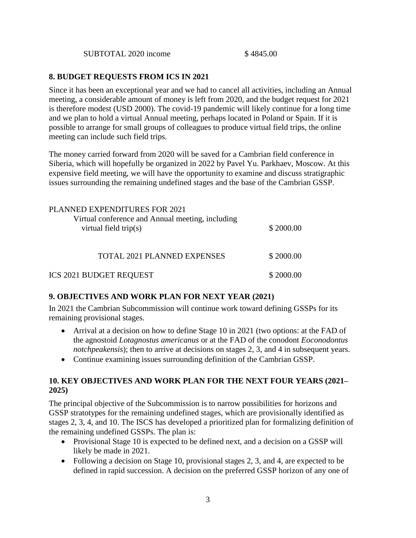SUBTOTAL 2020 income \$4845.00

### **8. BUDGET REQUESTS FROM ICS IN 2021**

Since it has been an exceptional year and we had to cancel all activities, including an Annual meeting, a considerable amount of money is left from 2020, and the budget request for 2021 is therefore modest (USD 2000). The covid-19 pandemic will likely continue for a long time and we plan to hold a virtual Annual meeting, perhaps located in Poland or Spain. If it is possible to arrange for small groups of colleagues to produce virtual field trips, the online meeting can include such field trips.

The money carried forward from 2020 will be saved for a Cambrian field conference in Siberia, which will hopefully be organized in 2022 by Pavel Yu. Parkhaev, Moscow. At this expensive field meeting, we will have the opportunity to examine and discuss stratigraphic issues surrounding the remaining undefined stages and the base of the Cambrian GSSP.

| PLANNED EXPENDITURES FOR 2021<br>Virtual conference and Annual meeting, including<br>virtual field $trip(s)$ | \$2000.00 |
|--------------------------------------------------------------------------------------------------------------|-----------|
| <b>TOTAL 2021 PLANNED EXPENSES</b>                                                                           | \$2000.00 |
| <b>ICS 2021 BUDGET REQUEST</b>                                                                               | \$2000.00 |

### **9. OBJECTIVES AND WORK PLAN FOR NEXT YEAR (2021)**

In 2021 the Cambrian Subcommission will continue work toward defining GSSPs for its remaining provisional stages.

- Arrival at a decision on how to define Stage 10 in 2021 (two options: at the FAD of the agnostoid *Lotagnostus americanus* or at the FAD of the conodont *Eoconodontus notchpeakensis*); then to arrive at decisions on stages 2, 3, and 4 in subsequent years.
- Continue examining issues surrounding definition of the Cambrian GSSP.

### **10. KEY OBJECTIVES AND WORK PLAN FOR THE NEXT FOUR YEARS (2021– 2025)**

The principal objective of the Subcommission is to narrow possibilities for horizons and GSSP stratotypes for the remaining undefined stages, which are provisionally identified as stages 2, 3, 4, and 10. The ISCS has developed a prioritized plan for formalizing definition of the remaining undefined GSSPs. The plan is:

- Provisional Stage 10 is expected to be defined next, and a decision on a GSSP will likely be made in 2021.
- Following a decision on Stage 10, provisional stages 2, 3, and 4, are expected to be defined in rapid succession. A decision on the preferred GSSP horizon of any one of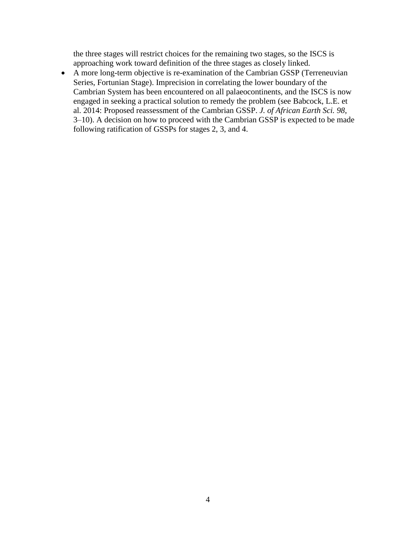the three stages will restrict choices for the remaining two stages, so the ISCS is approaching work toward definition of the three stages as closely linked.

 A more long-term objective is re-examination of the Cambrian GSSP (Terreneuvian Series, Fortunian Stage). Imprecision in correlating the lower boundary of the Cambrian System has been encountered on all palaeocontinents, and the ISCS is now engaged in seeking a practical solution to remedy the problem (see Babcock, L.E. et al. 2014: Proposed reassessment of the Cambrian GSSP. *J. of African Earth Sci. 98*, 3–10). A decision on how to proceed with the Cambrian GSSP is expected to be made following ratification of GSSPs for stages 2, 3, and 4.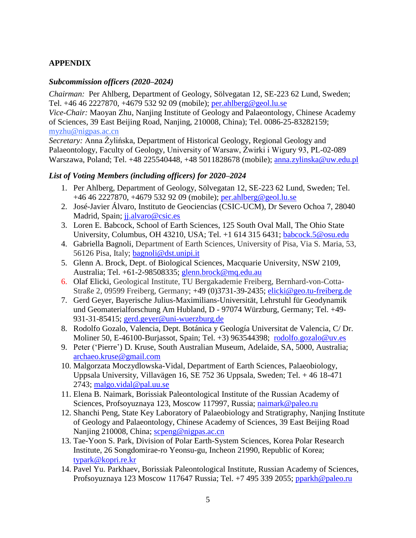# **APPENDIX**

#### *Subcommission officers (2020–2024)*

*Chairman:*Per Ahlberg, Department of Geology, Sölvegatan 12, SE-223 62 Lund, Sweden; Tel. +46 46 2227870, +4679 532 92 09 (mobile); [per.ahlberg@geol.lu.se](mailto:per.ahlberg@geol.lu.se)

*Vice-Chair:* Maoyan Zhu, Nanjing Institute of Geology and Palaeontology, Chinese Academy of Sciences, 39 East Beijing Road, Nanjing, 210008, China); Tel. 0086-25-83282159; [myzhu@nigpas.ac.cn](mailto:myzhu@nigpas.ac.cn)

*Secretary:* Anna Żylińska, Department of Historical Geology, Regional Geology and Palaeontology, Faculty of Geology, University of Warsaw, Żwirki i Wigury 93, PL-02-089 Warszawa, Poland; Tel. +48 225540448, +48 5011828678 (mobile); [anna.zylinska@uw.edu.pl](mailto:anna.zylinska@uw.edu.pl)

#### *List of Voting Members (including officers) for 2020–2024*

- 1. Per Ahlberg, Department of Geology, Sölvegatan 12, SE-223 62 Lund, Sweden; Tel. +46 46 2227870, +4679 532 92 09 (mobile); [per.ahlberg@geol.lu.se](mailto:per.ahlberg@geol.lu.se)
- 2. José-Javier Álvaro, Instituto de Geociencias (CSIC-UCM), Dr Severo Ochoa 7, 28040 Madrid, Spain; ji.alvaro@csic.es
- 3. Loren E. Babcock, School of Earth Sciences, 125 South Oval Mall, The Ohio State University, Columbus, OH 43210, USA; Tel. +1 614 315 6431; [babcock.5@osu.edu](file:///C:/Users/pra/AppData/Local/Temp/babcock.5@osu.edu)
- 4. Gabriella Bagnoli, Department of Earth Sciences, University of Pisa, Via S. Maria, 53, 56126 Pisa, Italy; [bagnoli@dst.unipi.it](mailto:bagnoli@dst.unipi.it)
- 5. Glenn A. Brock, Dept. of Biological Sciences, Macquarie University, NSW 2109, Australia; Tel. +61-2-98508335; [glenn.brock@mq.edu.au](mailto:glenn.brock@mq.edu.au)
- 6. Olaf Elicki, Geological Institute, TU Bergakademie Freiberg, Bernhard-von-Cotta-Straße 2, 09599 Freiberg, Germany; +49 (0)3731-39-2435; [elicki@geo.tu-freiberg.de](mailto:elicki@geo.tu-freiberg.de)
- 7. Gerd Geyer, Bayerische Julius-Maximilians-Universität, Lehrstuhl für Geodynamik und Geomaterialforschung Am Hubland, D - 97074 Würzburg, Germany; Tel. +49- 931-31-85415; [gerd.geyer@uni-wuerzburg.de](mailto:gerd.geyer@uni-wuerzburg.de)
- 8. Rodolfo Gozalo, Valencia, Dept. Botánica y Geología Universitat de Valencia, C/ Dr. Moliner 50, E-46100-Burjassot, Spain; Tel. +3) 963544398; [rodolfo.gozalo@uv.es](mailto:rodolfo.gozalo@uv.es)
- 9. Peter (ʻPierre') D. Kruse, South Australian Museum, Adelaide, SA, 5000, Australia; [archaeo.kruse@gmail.com](mailto:archaeo.kruse@gmail.com)
- 10. Malgorzata Moczydlowska-Vidal, Department of Earth Sciences, Palaeobiology, Uppsala University, Villavägen 16, SE 752 36 Uppsala, Sweden; Tel. + 46 18-471 2743; [malgo.vidal@pal.uu.se](mailto:malgo.vidal@pal.uu.se)
- 11. Elena B. Naimark, Borissiak Paleontological Institute of the Russian Academy of Sciences, Profsoyuznaya 123, Moscow 117997, Russia; [naimark@paleo.ru](mailto:naimark@paleo.ru)
- 12. Shanchi Peng, State Key Laboratory of Palaeobiology and Stratigraphy, Nanjing Institute of Geology and Palaeontology, Chinese Academy of Sciences, 39 East Beijing Road Nanjing 210008, China; [scpeng@nigpas.ac.cn](mailto:scpeng@nigpas.ac.cn)
- 13. Tae-Yoon S. Park, Division of Polar Earth-System Sciences, Korea Polar Research Institute, 26 Songdomirae-ro Yeonsu-gu, Incheon 21990, Republic of Korea; [typark@kopri.re.kr](mailto:typark@kopri.re.kr)
- 14. Pavel Yu. Parkhaev, Borissiak Paleontological Institute, Russian Academy of Sciences, Profsoyuznaya 123 Moscow 117647 Russia; Tel. +7 495 339 2055; [pparkh@paleo.ru](mailto:pparkh@paleo.ru)